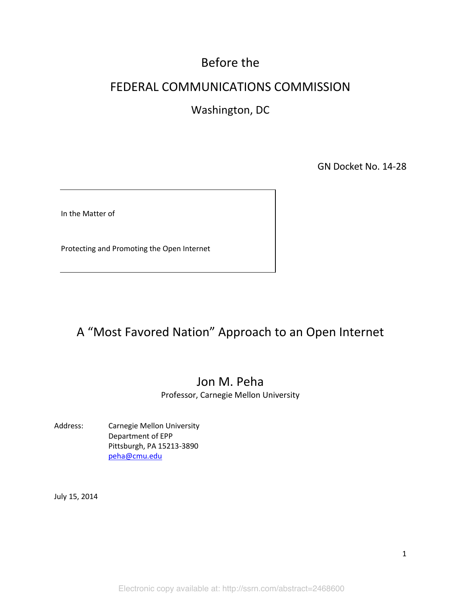# Before the

# FEDERAL COMMUNICATIONS COMMISSION

# Washington, DC

GN Docket No. 14-28

In the Matter of

Protecting and Promoting the Open Internet

# A "Most Favored Nation" Approach to an Open Internet

# Jon M. Peha

Professor, Carnegie Mellon University

Address: Carnegie Mellon University Department of EPP Pittsburgh, PA 15213-3890 [peha@cmu.edu](mailto:peha@cmu.edu)

July 15, 2014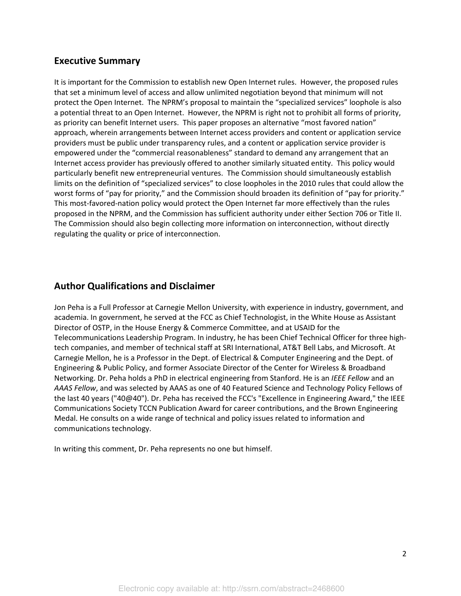#### **Executive Summary**

It is important for the Commission to establish new Open Internet rules. However, the proposed rules that set a minimum level of access and allow unlimited negotiation beyond that minimum will not protect the Open Internet. The NPRM's proposal to maintain the "specialized services" loophole is also a potential threat to an Open Internet. However, the NPRM is right not to prohibit all forms of priority, as priority can benefit Internet users. This paper proposes an alternative "most favored nation" approach, wherein arrangements between Internet access providers and content or application service providers must be public under transparency rules, and a content or application service provider is empowered under the "commercial reasonableness" standard to demand any arrangement that an Internet access provider has previously offered to another similarly situated entity. This policy would particularly benefit new entrepreneurial ventures. The Commission should simultaneously establish limits on the definition of "specialized services" to close loopholes in the 2010 rules that could allow the worst forms of "pay for priority," and the Commission should broaden its definition of "pay for priority." This most-favored-nation policy would protect the Open Internet far more effectively than the rules proposed in the NPRM, and the Commission has sufficient authority under either Section 706 or Title II. The Commission should also begin collecting more information on interconnection, without directly regulating the quality or price of interconnection.

#### **Author Qualifications and Disclaimer**

Jon Peha is a Full Professor at Carnegie Mellon University, with experience in industry, government, and academia. In government, he served at the FCC as Chief Technologist, in the White House as Assistant Director of OSTP, in the House Energy & Commerce Committee, and at USAID for the Telecommunications Leadership Program. In industry, he has been Chief Technical Officer for three hightech companies, and member of technical staff at SRI International, AT&T Bell Labs, and Microsoft. At Carnegie Mellon, he is a Professor in the Dept. of Electrical & Computer Engineering and the Dept. of Engineering & Public Policy, and former Associate Director of the Center for Wireless & Broadband Networking. Dr. Peha holds a PhD in electrical engineering from Stanford. He is an *IEEE Fellow* and an *AAAS Fellow*, and was selected by AAAS as one of 40 Featured Science and Technology Policy Fellows of the last 40 years ("40@40"). Dr. Peha has received the FCC's "Excellence in Engineering Award," the IEEE Communications Society TCCN Publication Award for career contributions, and the Brown Engineering Medal. He consults on a wide range of technical and policy issues related to information and communications technology.

In writing this comment, Dr. Peha represents no one but himself.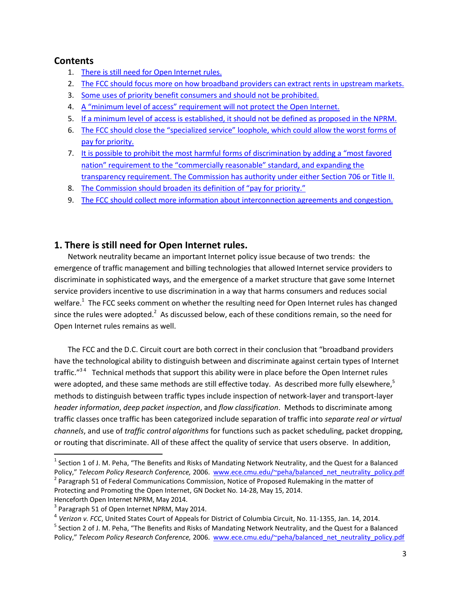#### **Contents**

- 1. [There is still need for Open Internet rules.](#page-2-0)
- 2. [The FCC should focus more on how broadband providers can extract rents in upstream markets.](#page-3-0)
- 3. [Some uses of priority benefit consumers and should not be prohibited.](#page-4-0)
- 4. A ["minimum level of access" requirement will not protect the Open Internet.](file:///C:/Users/peha/Documents/changing%20files/messages/papers%20&%20abstracts/net%20neutrality%20filing%202014/minimum%23_The_proposed_)
- 5. [If a minimum level of access is established, it should not be defined as proposed in the NPRM.](#page-6-0)
- 6. [The FCC should close the "specialized service" loophole, which cou](#page-8-0)ld allow the worst forms of pay for [priority.](#page-8-0)
- 7. [It is possible to prohibit the most harmful forms of discrimination](#page-9-0) by adding a "most favored [nation" requirement to the "commercially reasonable" standard, and expanding the](#page-9-0) transparency requirement. The Commission [has authority under either Section 706](#page-9-0) or Title II.
- 8. [The Commission should broaden its definition of "pay for priority."](#page-10-0)
- <span id="page-2-0"></span>9. The FCC [should collect more information about interconnection agreements and congestion.](#page-10-1)

## **1. There is still need for Open Internet rules.**

Network neutrality became an important Internet policy issue because of two trends: the emergence of traffic management and billing technologies that allowed Internet service providers to discriminate in sophisticated ways, and the emergence of a market structure that gave some Internet service providers incentive to use discrimination in a way that harms consumers and reduces social welfare.<sup>1</sup> The FCC seeks comment on whether the resulting need for Open Internet rules has changed since the rules were adopted.<sup>2</sup> As discussed below, each of these conditions remain, so the need for Open Internet rules remains as well.

The FCC and the D.C. Circuit court are both correct in their conclusion that "broadband providers have the technological ability to distinguish between and discriminate against certain types of Internet traffic."<sup>34</sup> Technical methods that support this ability were in place before the Open Internet rules were adopted, and these same methods are still effective today. As described more fully elsewhere,<sup>5</sup> methods to distinguish between traffic types include inspection of network-layer and transport-layer *header information*, *deep packet inspection*, and *flow classification*. Methods to discriminate among traffic classes once traffic has been categorized include separation of traffic into *separate real or virtual channels*, and use of *traffic control algorithms* for functions such as packet scheduling, packet dropping, or routing that discriminate. All of these affect the quality of service that users observe. In addition,

Henceforth Open Internet NPRM, May 2014.

 $1$  Section 1 of J. M. Peha, "The Benefits and Risks of Mandating Network Neutrality, and the Quest for a Balanced Policy," *Telecom Policy Research Conference,* 2006. [www.ece.cmu.edu/~peha/balanced\\_net\\_neutrality\\_policy.pdf](http://www.ece.cmu.edu/~peha/balanced_net_neutrality_policy.pdf) <sup>2</sup> Paragraph 51 of Federal Communications Commission, Notice of Proposed Rulemaking in the matter of Protecting and Promoting the Open Internet, GN Docket No. 14-28, May 15, 2014.

 $3$  Paragraph 51 of Open Internet NPRM, May 2014.

<sup>4</sup> *Verizon v. FCC*, United States Court of Appeals for District of Columbia Circuit, No. 11-1355, Jan. 14, 2014.

<sup>&</sup>lt;sup>5</sup> Section 2 of J. M. Peha, "The Benefits and Risks of Mandating Network Neutrality, and the Quest for a Balanced Policy," Telecom Policy Research Conference, 2006. www.ece.cmu.edu/~peha/balanced net neutrality policy.pdf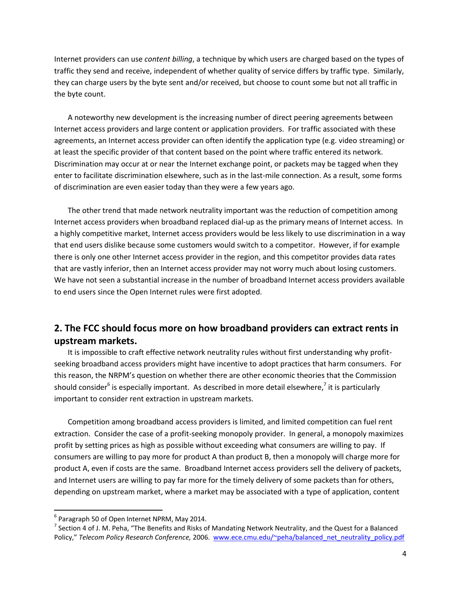Internet providers can use *content billing*, a technique by which users are charged based on the types of traffic they send and receive, independent of whether quality of service differs by traffic type. Similarly, they can charge users by the byte sent and/or received, but choose to count some but not all traffic in the byte count.

A noteworthy new development is the increasing number of direct peering agreements between Internet access providers and large content or application providers. For traffic associated with these agreements, an Internet access provider can often identify the application type (e.g. video streaming) or at least the specific provider of that content based on the point where traffic entered its network. Discrimination may occur at or near the Internet exchange point, or packets may be tagged when they enter to facilitate discrimination elsewhere, such as in the last-mile connection. As a result, some forms of discrimination are even easier today than they were a few years ago.

The other trend that made network neutrality important was the reduction of competition among Internet access providers when broadband replaced dial-up as the primary means of Internet access. In a highly competitive market, Internet access providers would be less likely to use discrimination in a way that end users dislike because some customers would switch to a competitor. However, if for example there is only one other Internet access provider in the region, and this competitor provides data rates that are vastly inferior, then an Internet access provider may not worry much about losing customers. We have not seen a substantial increase in the number of broadband Internet access providers available to end users since the Open Internet rules were first adopted.

## <span id="page-3-0"></span>**2. The FCC should focus more on how broadband providers can extract rents in upstream markets.**

It is impossible to craft effective network neutrality rules without first understanding why profitseeking broadband access providers might have incentive to adopt practices that harm consumers. For this reason, the NRPM's question on whether there are other economic theories that the Commission should consider<sup>6</sup> is especially important. As described in more detail elsewhere,<sup>7</sup> it is particularly important to consider rent extraction in upstream markets.

Competition among broadband access providers is limited, and limited competition can fuel rent extraction. Consider the case of a profit-seeking monopoly provider. In general, a monopoly maximizes profit by setting prices as high as possible without exceeding what consumers are willing to pay. If consumers are willing to pay more for product A than product B, then a monopoly will charge more for product A, even if costs are the same. Broadband Internet access providers sell the delivery of packets, and Internet users are willing to pay far more for the timely delivery of some packets than for others, depending on upstream market, where a market may be associated with a type of application, content

<sup>&</sup>lt;sup>6</sup> Paragraph 50 of Open Internet NPRM, May 2014.<br><sup>7</sup> Section 4 of J. M. Peha, "The Benefits and Risks of Mandating Network Neutrality, and the Quest for a Balanced Policy," Telecom Policy Research Conference, 2006. www.ece.cmu.edu/~peha/balanced net neutrality policy.pdf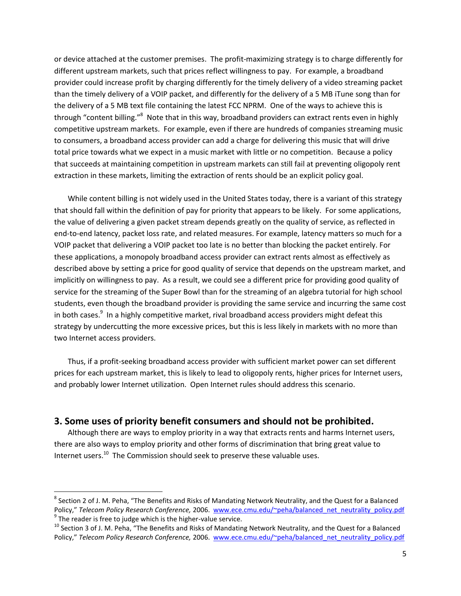or device attached at the customer premises. The profit-maximizing strategy is to charge differently for different upstream markets, such that prices reflect willingness to pay. For example, a broadband provider could increase profit by charging differently for the timely delivery of a video streaming packet than the timely delivery of a VOIP packet, and differently for the delivery of a 5 MB iTune song than for the delivery of a 5 MB text file containing the latest FCC NPRM. One of the ways to achieve this is through "content billing."<sup>8</sup> Note that in this way, broadband providers can extract rents even in highly competitive upstream markets. For example, even if there are hundreds of companies streaming music to consumers, a broadband access provider can add a charge for delivering this music that will drive total price towards what we expect in a music market with little or no competition. Because a policy that succeeds at maintaining competition in upstream markets can still fail at preventing oligopoly rent extraction in these markets, limiting the extraction of rents should be an explicit policy goal.

While content billing is not widely used in the United States today, there is a variant of this strategy that should fall within the definition of pay for priority that appears to be likely. For some applications, the value of delivering a given packet stream depends greatly on the quality of service, as reflected in end-to-end latency, packet loss rate, and related measures. For example, latency matters so much for a VOIP packet that delivering a VOIP packet too late is no better than blocking the packet entirely. For these applications, a monopoly broadband access provider can extract rents almost as effectively as described above by setting a price for good quality of service that depends on the upstream market, and implicitly on willingness to pay. As a result, we could see a different price for providing good quality of service for the streaming of the Super Bowl than for the streaming of an algebra tutorial for high school students, even though the broadband provider is providing the same service and incurring the same cost in both cases.<sup>9</sup> In a highly competitive market, rival broadband access providers might defeat this strategy by undercutting the more excessive prices, but this is less likely in markets with no more than two Internet access providers.

Thus, if a profit-seeking broadband access provider with sufficient market power can set different prices for each upstream market, this is likely to lead to oligopoly rents, higher prices for Internet users, and probably lower Internet utilization. Open Internet rules should address this scenario.

#### <span id="page-4-0"></span>**3. Some uses of priority benefit consumers and should not be prohibited.**

Although there are ways to employ priority in a way that extracts rents and harms Internet users, there are also ways to employ priority and other forms of discrimination that bring great value to Internet users.<sup>10</sup> The Commission should seek to preserve these valuable uses.

 $8$  Section 2 of J. M. Peha, "The Benefits and Risks of Mandating Network Neutrality, and the Quest for a Balanced Policy," Telecom Policy Research Conference, 2006. www.ece.cmu.edu/~peha/balanced net neutrality policy.pdf<br><sup>9</sup> The reader is free to judge which is the higher-value service.<br><sup>10</sup> Section 3 of J. M. Peha, "The Benefits and

Policy," *Telecom Policy Research Conference*, 2006. www.ece.cmu.edu/~peha/balanced net neutrality policy.pdf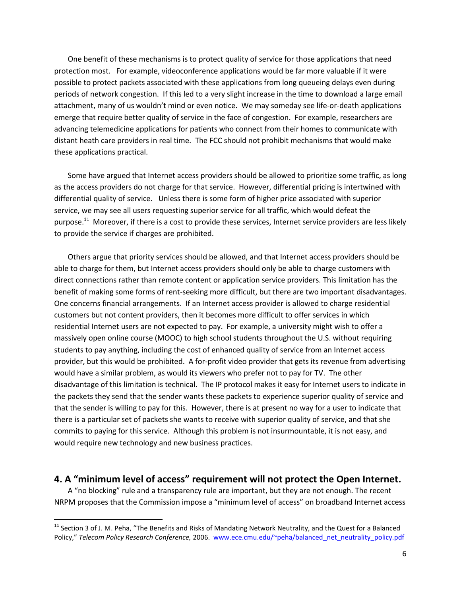One benefit of these mechanisms is to protect quality of service for those applications that need protection most. For example, videoconference applications would be far more valuable if it were possible to protect packets associated with these applications from long queueing delays even during periods of network congestion. If this led to a very slight increase in the time to download a large email attachment, many of us wouldn't mind or even notice. We may someday see life-or-death applications emerge that require better quality of service in the face of congestion. For example, researchers are advancing telemedicine applications for patients who connect from their homes to communicate with distant heath care providers in real time. The FCC should not prohibit mechanisms that would make these applications practical.

Some have argued that Internet access providers should be allowed to prioritize some traffic, as long as the access providers do not charge for that service. However, differential pricing is intertwined with differential quality of service. Unless there is some form of higher price associated with superior service, we may see all users requesting superior service for all traffic, which would defeat the purpose.<sup>11</sup> Moreover, if there is a cost to provide these services, Internet service providers are less likely to provide the service if charges are prohibited.

Others argue that priority services should be allowed, and that Internet access providers should be able to charge for them, but Internet access providers should only be able to charge customers with direct connections rather than remote content or application service providers. This limitation has the benefit of making some forms of rent-seeking more difficult, but there are two important disadvantages. One concerns financial arrangements. If an Internet access provider is allowed to charge residential customers but not content providers, then it becomes more difficult to offer services in which residential Internet users are not expected to pay. For example, a university might wish to offer a massively open online course (MOOC) to high school students throughout the U.S. without requiring students to pay anything, including the cost of enhanced quality of service from an Internet access provider, but this would be prohibited. A for-profit video provider that gets its revenue from advertising would have a similar problem, as would its viewers who prefer not to pay for TV. The other disadvantage of this limitation is technical. The IP protocol makes it easy for Internet users to indicate in the packets they send that the sender wants these packets to experience superior quality of service and that the sender is willing to pay for this. However, there is at present no way for a user to indicate that there is a particular set of packets she wants to receive with superior quality of service, and that she commits to paying for this service. Although this problem is not insurmountable, it is not easy, and would require new technology and new business practices.

#### **4. A "minimum level of access" requirement will not protect the Open Internet.**

A "no blocking" rule and a transparency rule are important, but they are not enough. The recent NRPM proposes that the Commission impose a "minimum level of access" on broadband Internet access

 $11$  Section 3 of J. M. Peha, "The Benefits and Risks of Mandating Network Neutrality, and the Quest for a Balanced Policy," *Telecom Policy Research Conference*, 2006. www.ece.cmu.edu/~peha/balanced net neutrality policy.pdf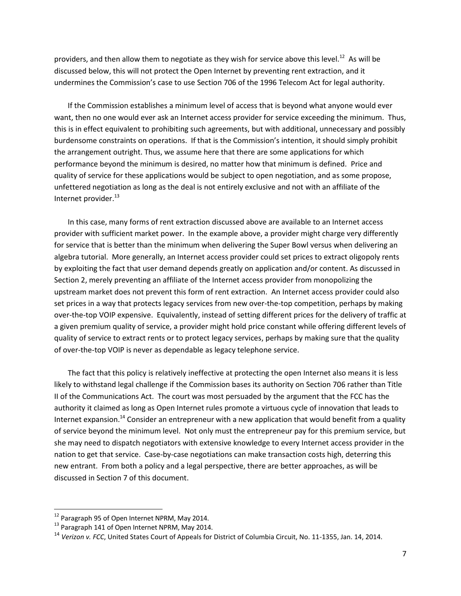providers, and then allow them to negotiate as they wish for service above this level.<sup>12</sup> As will be discussed below, this will not protect the Open Internet by preventing rent extraction, and it undermines the Commission's case to use Section 706 of the 1996 Telecom Act for legal authority.

If the Commission establishes a minimum level of access that is beyond what anyone would ever want, then no one would ever ask an Internet access provider for service exceeding the minimum. Thus, this is in effect equivalent to prohibiting such agreements, but with additional, unnecessary and possibly burdensome constraints on operations. If that is the Commission's intention, it should simply prohibit the arrangement outright. Thus, we assume here that there are some applications for which performance beyond the minimum is desired, no matter how that minimum is defined. Price and quality of service for these applications would be subject to open negotiation, and as some propose, unfettered negotiation as long as the deal is not entirely exclusive and not with an affiliate of the Internet provider.<sup>13</sup>

In this case, many forms of rent extraction discussed above are available to an Internet access provider with sufficient market power. In the example above, a provider might charge very differently for service that is better than the minimum when delivering the Super Bowl versus when delivering an algebra tutorial. More generally, an Internet access provider could set prices to extract oligopoly rents by exploiting the fact that user demand depends greatly on application and/or content. As discussed in Section 2, merely preventing an affiliate of the Internet access provider from monopolizing the upstream market does not prevent this form of rent extraction. An Internet access provider could also set prices in a way that protects legacy services from new over-the-top competition, perhaps by making over-the-top VOIP expensive. Equivalently, instead of setting different prices for the delivery of traffic at a given premium quality of service, a provider might hold price constant while offering different levels of quality of service to extract rents or to protect legacy services, perhaps by making sure that the quality of over-the-top VOIP is never as dependable as legacy telephone service.

The fact that this policy is relatively ineffective at protecting the open Internet also means it is less likely to withstand legal challenge if the Commission bases its authority on Section 706 rather than Title II of the Communications Act. The court was most persuaded by the argument that the FCC has the authority it claimed as long as Open Internet rules promote a virtuous cycle of innovation that leads to Internet expansion.<sup>14</sup> Consider an entrepreneur with a new application that would benefit from a quality of service beyond the minimum level. Not only must the entrepreneur pay for this premium service, but she may need to dispatch negotiators with extensive knowledge to every Internet access provider in the nation to get that service. Case-by-case negotiations can make transaction costs high, deterring this new entrant. From both a policy and a legal perspective, there are better approaches, as will be discussed in Section 7 of this document.

<span id="page-6-0"></span><sup>&</sup>lt;sup>12</sup> Paragraph 95 of Open Internet NPRM, May 2014.<br><sup>13</sup> Paragraph 141 of Open Internet NPRM, May 2014.

<sup>14</sup> *Verizon v. FCC*, United States Court of Appeals for District of Columbia Circuit, No. 11-1355, Jan. 14, 2014.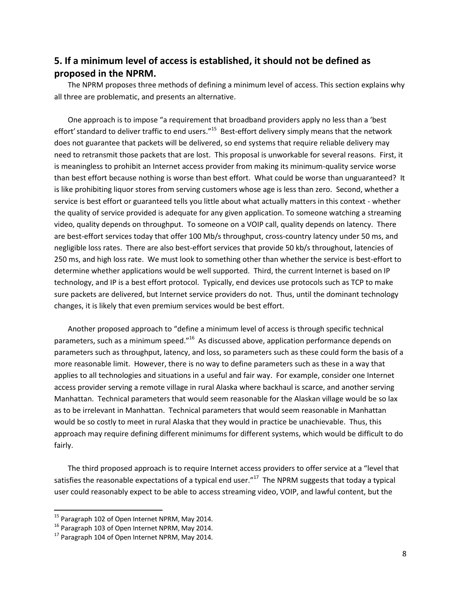## **5. If a minimum level of access is established, it should not be defined as proposed in the NPRM.**

The NPRM proposes three methods of defining a minimum level of access. This section explains why all three are problematic, and presents an alternative.

One approach is to impose "a requirement that broadband providers apply no less than a 'best effort' standard to deliver traffic to end users."<sup>15</sup> Best-effort delivery simply means that the network does not guarantee that packets will be delivered, so end systems that require reliable delivery may need to retransmit those packets that are lost. This proposal is unworkable for several reasons. First, it is meaningless to prohibit an Internet access provider from making its minimum-quality service worse than best effort because nothing is worse than best effort. What could be worse than unguaranteed? It is like prohibiting liquor stores from serving customers whose age is less than zero. Second, whether a service is best effort or guaranteed tells you little about what actually matters in this context - whether the quality of service provided is adequate for any given application. To someone watching a streaming video, quality depends on throughput. To someone on a VOIP call, quality depends on latency. There are best-effort services today that offer 100 Mb/s throughput, cross-country latency under 50 ms, and negligible loss rates. There are also best-effort services that provide 50 kb/s throughout, latencies of 250 ms, and high loss rate. We must look to something other than whether the service is best-effort to determine whether applications would be well supported. Third, the current Internet is based on IP technology, and IP is a best effort protocol. Typically, end devices use protocols such as TCP to make sure packets are delivered, but Internet service providers do not. Thus, until the dominant technology changes, it is likely that even premium services would be best effort.

Another proposed approach to "define a minimum level of access is through specific technical parameters, such as a minimum speed."<sup>16</sup> As discussed above, application performance depends on parameters such as throughput, latency, and loss, so parameters such as these could form the basis of a more reasonable limit. However, there is no way to define parameters such as these in a way that applies to all technologies and situations in a useful and fair way. For example, consider one Internet access provider serving a remote village in rural Alaska where backhaul is scarce, and another serving Manhattan. Technical parameters that would seem reasonable for the Alaskan village would be so lax as to be irrelevant in Manhattan. Technical parameters that would seem reasonable in Manhattan would be so costly to meet in rural Alaska that they would in practice be unachievable. Thus, this approach may require defining different minimums for different systems, which would be difficult to do fairly.

The third proposed approach is to require Internet access providers to offer service at a "level that satisfies the reasonable expectations of a typical end user."<sup>17</sup> The NPRM suggests that today a typical user could reasonably expect to be able to access streaming video, VOIP, and lawful content, but the

<sup>&</sup>lt;sup>15</sup> Paragraph 102 of Open Internet NPRM, May 2014.<br><sup>16</sup> Paragraph 103 of Open Internet NPRM, May 2014.<br><sup>17</sup> Paragraph 104 of Open Internet NPRM, May 2014.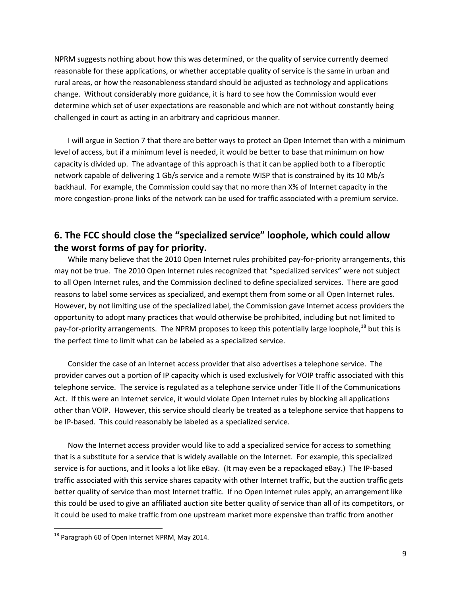NPRM suggests nothing about how this was determined, or the quality of service currently deemed reasonable for these applications, or whether acceptable quality of service is the same in urban and rural areas, or how the reasonableness standard should be adjusted as technology and applications change. Without considerably more guidance, it is hard to see how the Commission would ever determine which set of user expectations are reasonable and which are not without constantly being challenged in court as acting in an arbitrary and capricious manner.

I will argue in Section 7 that there are better ways to protect an Open Internet than with a minimum level of access, but if a minimum level is needed, it would be better to base that minimum on how capacity is divided up. The advantage of this approach is that it can be applied both to a fiberoptic network capable of delivering 1 Gb/s service and a remote WISP that is constrained by its 10 Mb/s backhaul. For example, the Commission could say that no more than X% of Internet capacity in the more congestion-prone links of the network can be used for traffic associated with a premium service.

## <span id="page-8-0"></span>**6. The FCC should close the "specialized service" loophole, which could allow the worst forms of pay for priority.**

While many believe that the 2010 Open Internet rules prohibited pay-for-priority arrangements, this may not be true. The 2010 Open Internet rules recognized that "specialized services" were not subject to all Open Internet rules, and the Commission declined to define specialized services. There are good reasons to label some services as specialized, and exempt them from some or all Open Internet rules. However, by not limiting use of the specialized label, the Commission gave Internet access providers the opportunity to adopt many practices that would otherwise be prohibited, including but not limited to pay-for-priority arrangements. The NPRM proposes to keep this potentially large loophole,<sup>18</sup> but this is the perfect time to limit what can be labeled as a specialized service.

Consider the case of an Internet access provider that also advertises a telephone service. The provider carves out a portion of IP capacity which is used exclusively for VOIP traffic associated with this telephone service. The service is regulated as a telephone service under Title II of the Communications Act. If this were an Internet service, it would violate Open Internet rules by blocking all applications other than VOIP. However, this service should clearly be treated as a telephone service that happens to be IP-based. This could reasonably be labeled as a specialized service.

Now the Internet access provider would like to add a specialized service for access to something that is a substitute for a service that is widely available on the Internet. For example, this specialized service is for auctions, and it looks a lot like eBay. (It may even be a repackaged eBay.) The IP-based traffic associated with this service shares capacity with other Internet traffic, but the auction traffic gets better quality of service than most Internet traffic. If no Open Internet rules apply, an arrangement like this could be used to give an affiliated auction site better quality of service than all of its competitors, or it could be used to make traffic from one upstream market more expensive than traffic from another

 $18$  Paragraph 60 of Open Internet NPRM, May 2014.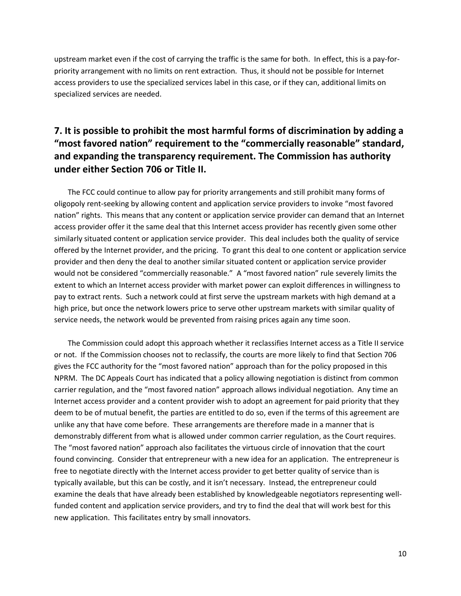upstream market even if the cost of carrying the traffic is the same for both. In effect, this is a pay-forpriority arrangement with no limits on rent extraction. Thus, it should not be possible for Internet access providers to use the specialized services label in this case, or if they can, additional limits on specialized services are needed.

# <span id="page-9-0"></span>**7. It is possible to prohibit the most harmful forms of discrimination by adding a "most favored nation" requirement to the "commercially reasonable" standard, and expanding the transparency requirement. The Commission has authority under either Section 706 or Title II.**

The FCC could continue to allow pay for priority arrangements and still prohibit many forms of oligopoly rent-seeking by allowing content and application service providers to invoke "most favored nation" rights. This means that any content or application service provider can demand that an Internet access provider offer it the same deal that this Internet access provider has recently given some other similarly situated content or application service provider. This deal includes both the quality of service offered by the Internet provider, and the pricing. To grant this deal to one content or application service provider and then deny the deal to another similar situated content or application service provider would not be considered "commercially reasonable." A "most favored nation" rule severely limits the extent to which an Internet access provider with market power can exploit differences in willingness to pay to extract rents. Such a network could at first serve the upstream markets with high demand at a high price, but once the network lowers price to serve other upstream markets with similar quality of service needs, the network would be prevented from raising prices again any time soon.

The Commission could adopt this approach whether it reclassifies Internet access as a Title II service or not. If the Commission chooses not to reclassify, the courts are more likely to find that Section 706 gives the FCC authority for the "most favored nation" approach than for the policy proposed in this NPRM. The DC Appeals Court has indicated that a policy allowing negotiation is distinct from common carrier regulation, and the "most favored nation" approach allows individual negotiation. Any time an Internet access provider and a content provider wish to adopt an agreement for paid priority that they deem to be of mutual benefit, the parties are entitled to do so, even if the terms of this agreement are unlike any that have come before. These arrangements are therefore made in a manner that is demonstrably different from what is allowed under common carrier regulation, as the Court requires. The "most favored nation" approach also facilitates the virtuous circle of innovation that the court found convincing. Consider that entrepreneur with a new idea for an application. The entrepreneur is free to negotiate directly with the Internet access provider to get better quality of service than is typically available, but this can be costly, and it isn't necessary. Instead, the entrepreneur could examine the deals that have already been established by knowledgeable negotiators representing wellfunded content and application service providers, and try to find the deal that will work best for this new application. This facilitates entry by small innovators.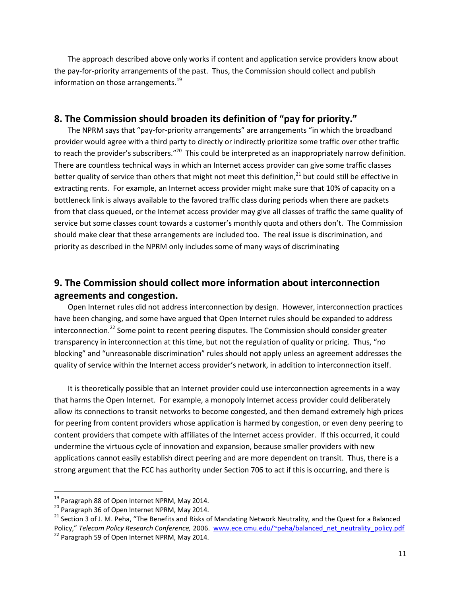The approach described above only works if content and application service providers know about the pay-for-priority arrangements of the past. Thus, the Commission should collect and publish information on those arrangements.<sup>19</sup>

#### <span id="page-10-0"></span>**8. The Commission should broaden its definition of "pay for priority."**

The NPRM says that "pay-for-priority arrangements" are arrangements "in which the broadband provider would agree with a third party to directly or indirectly prioritize some traffic over other traffic to reach the provider's subscribers."<sup>20</sup> This could be interpreted as an inappropriately narrow definition. There are countless technical ways in which an Internet access provider can give some traffic classes better quality of service than others that might not meet this definition, $^{21}$  but could still be effective in extracting rents. For example, an Internet access provider might make sure that 10% of capacity on a bottleneck link is always available to the favored traffic class during periods when there are packets from that class queued, or the Internet access provider may give all classes of traffic the same quality of service but some classes count towards a customer's monthly quota and others don't. The Commission should make clear that these arrangements are included too. The real issue is discrimination, and priority as described in the NPRM only includes some of many ways of discriminating

## <span id="page-10-1"></span>**9. The Commission should collect more information about interconnection agreements and congestion.**

Open Internet rules did not address interconnection by design. However, interconnection practices have been changing, and some have argued that Open Internet rules should be expanded to address interconnection.<sup>22</sup> Some point to recent peering disputes. The Commission should consider greater transparency in interconnection at this time, but not the regulation of quality or pricing. Thus, "no blocking" and "unreasonable discrimination" rules should not apply unless an agreement addresses the quality of service within the Internet access provider's network, in addition to interconnection itself.

It is theoretically possible that an Internet provider could use interconnection agreements in a way that harms the Open Internet. For example, a monopoly Internet access provider could deliberately allow its connections to transit networks to become congested, and then demand extremely high prices for peering from content providers whose application is harmed by congestion, or even deny peering to content providers that compete with affiliates of the Internet access provider. If this occurred, it could undermine the virtuous cycle of innovation and expansion, because smaller providers with new applications cannot easily establish direct peering and are more dependent on transit. Thus, there is a strong argument that the FCC has authority under Section 706 to act if this is occurring, and there is

<sup>&</sup>lt;sup>19</sup> Paragraph 88 of Open Internet NPRM, May 2014.<br><sup>20</sup> Paragraph 36 of Open Internet NPRM, May 2014.<br><sup>21</sup> Section 3 of J. M. Peha, "The Benefits and Risks of Mandating Network Neutrality, and the Quest for a Balanced Policy," *Telecom Policy Research Conference*, 2006. [www.ece.cmu.edu/~peha/balanced\\_net\\_neutrality\\_policy.pdf](http://www.ece.cmu.edu/~peha/balanced_net_neutrality_policy.pdf)<br><sup>22</sup> Paragraph 59 of Open Internet NPRM, May 2014.